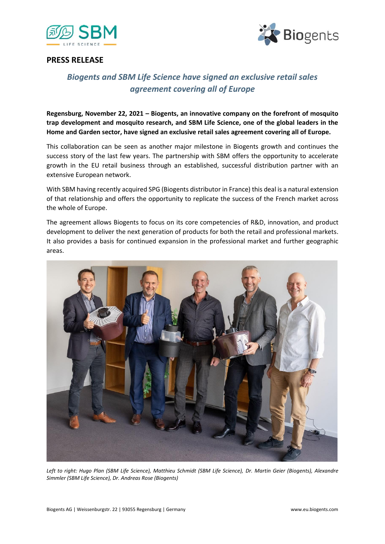



#### **PRESS RELEASE**

# *Biogents and SBM Life Science have signed an exclusive retail sales agreement covering all of Europe*

**Regensburg, November 22, 2021 – Biogents, an innovative company on the forefront of mosquito trap development and mosquito research, and SBM Life Science, one of the global leaders in the Home and Garden sector, have signed an exclusive retail sales agreement covering all of Europe.**

This collaboration can be seen as another major milestone in Biogents growth and continues the success story of the last few years. The partnership with SBM offers the opportunity to accelerate growth in the EU retail business through an established, successful distribution partner with an extensive European network.

With SBM having recently acquired SPG (Biogents distributor in France) this deal is a natural extension of that relationship and offers the opportunity to replicate the success of the French market across the whole of Europe.

The agreement allows Biogents to focus on its core competencies of R&D, innovation, and product development to deliver the next generation of products for both the retail and professional markets. It also provides a basis for continued expansion in the professional market and further geographic areas.



*Left to right: Hugo Plan (SBM Life Science), Matthieu Schmidt (SBM Life Science), Dr. Martin Geier (Biogents), Alexandre Simmler (SBM Life Science), Dr. Andreas Rose (Biogents)*